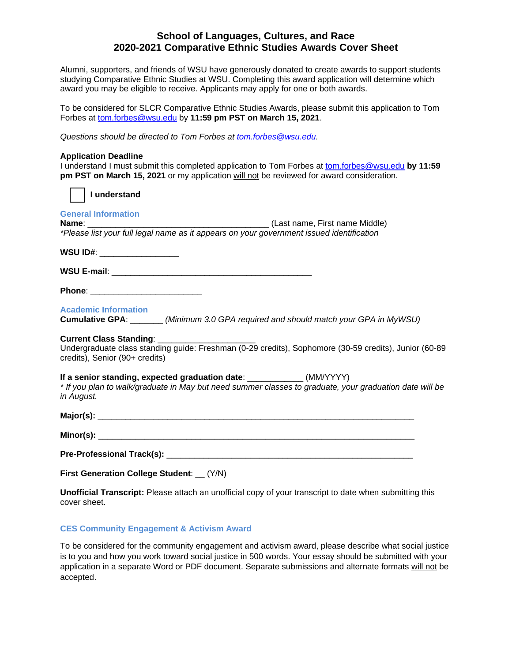# **School of Languages, Cultures, and Race 2020-2021 Comparative Ethnic Studies Awards Cover Sheet**

Alumni, supporters, and friends of WSU have generously donated to create awards to support students studying Comparative Ethnic Studies at WSU. Completing this award application will determine which award you may be eligible to receive. Applicants may apply for one or both awards.

To be considered for SLCR Comparative Ethnic Studies Awards, please submit this application to Tom Forbes at [tom.forbes@wsu.edu](mailto:tom.forbes@wsu.edu) by **11:59 pm PST on March 15, 2021**.

*Questions should be directed to Tom Forbes at [tom.forbes@wsu.edu.](mailto:tom.forbes@wsu.edu)*

#### **Application Deadline**

I understand I must submit this completed application to Tom Forbes at [tom.forbes@wsu.edu](mailto:tom.forbes@wsu.edu) **by 11:59 pm PST on March 15, 2021** or my application will not be reviewed for award consideration.

| <b>pm PST on March 15, 2021</b> or my application will not be reviewed for award consideration.                                                                                                 |
|-------------------------------------------------------------------------------------------------------------------------------------------------------------------------------------------------|
| I understand                                                                                                                                                                                    |
| <b>General Information</b><br>*Please list your full legal name as it appears on your government issued identification                                                                          |
| WSU ID#: ____________________                                                                                                                                                                   |
|                                                                                                                                                                                                 |
| Phone: __________________________                                                                                                                                                               |
| <b>Academic Information</b><br>Cumulative GPA: _______(Minimum 3.0 GPA required and should match your GPA in MyWSU)                                                                             |
| Current Class Standing: _______<br>Undergraduate class standing guide: Freshman (0-29 credits), Sophomore (30-59 credits), Junior (60-89<br>credits), Senior (90+ credits)                      |
| If a senior standing, expected graduation date: ____________ (MM/YYYY)<br>* If you plan to walk/graduate in May but need summer classes to graduate, your graduation date will be<br>in August. |
|                                                                                                                                                                                                 |
|                                                                                                                                                                                                 |
|                                                                                                                                                                                                 |
| First Generation College Student: _<br>(Y/N)                                                                                                                                                    |

**Unofficial Transcript:** Please attach an unofficial copy of your transcript to date when submitting this cover sheet.

## **CES Community Engagement & Activism Award**

To be considered for the community engagement and activism award, please describe what social justice is to you and how you work toward social justice in 500 words. Your essay should be submitted with your application in a separate Word or PDF document. Separate submissions and alternate formats will not be accepted.